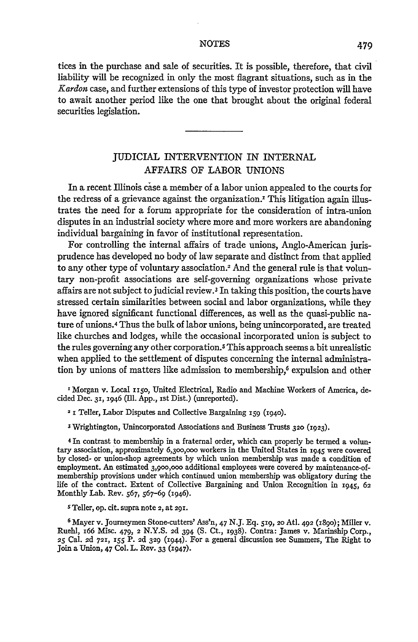tices in the purchase and sale of securities. It is possible, therefore, that civil liability will be recognized in only the most flagrant situations, such as in the *Kardon* case, and further extensions of this type of investor protection will have to await another period like the one that brought about the original federal securities legislation.

## JUDICIAL INTERVENTION IN INTERNAL AFFAIRS OF LABOR UNIONS

In a recent Illinois case a member of a labor union appealed to the courts for the redress of a grievance against the organization.<sup> $\text{r}$ </sup> This litigation again illustrates the need for a forum appropriate for the consideration of intra-union disputes in an industrial society where more and more workers are abandoning individual bargaining in favor of institutional representation.

For controlling the internal affairs of trade unions, Anglo-American jurisprudence has developed no body of law separate and distinct from that applied to any other type of voluntary association.<sup>2</sup> And the general rule is that voluntary non-profit associations are self-governing organizations whose private affairs are not subject to judicial review.3 In taking this position, the courts have stressed certain similarities between social and labor organizations, while they have ignored significant functional differences, as well as the quasi-public nature of unions.4 Thus the bulk of labor unions, being unincorporated, are treated like churches and lodges, while the occasional incorporated union is subject to the rules governing any other corporation.5 This approach seems a bit unrealistic when applied to the settlement of disputes concerning the internal administration by unions of matters like admission to membership,<sup>6</sup> expulsion and other

<sup>I</sup> Morgan v. Local 1150, United Electrical, Radio and Machine Workers of America, decided Dec. **31,** 1946 (Ill. App., ist Dist.) (unreported).

2 1 Teller, Labor Disputes and Collective Bargaining *i59* (194o).

**3** Wrightington, Unincorporated Associations and Business Trusts **320** (i923).

4 In contrast to membership in a fraternal order, which can properly be termed a voluntary association, approximately 6,300,000 workers in the United States in 1945 were covered by closed- or union-shop agreements by which union membership was made a condition of employment. An estimated 3,9oo,ooo additional employees were covered by maintenance-ofmembership provisions under which continued union membership was obligatory during the life of the contract. Extent of Collective Bargaining and Union Recognition in 1945, 62 Monthly Lab. Rev. 567, 567-69 (1946).

**<sup>s</sup>**Teller, op. cit. supra note 2, at **291.**

**6** Mayer v. Journeymen Stone-cutters' Ass'n, 47 N.J. Eq. 519, 2o Atl. 492 (i89o); Miller v. Ruehl, 166 Misc. 479, 2 N.Y.S. 2d 394 **(S.** Ct., 1938). Contra: James v. Marinship Corp., **<sup>25</sup>**Cal. 2d **721,** 155 P. 2d **329** (1944). For a general discussion see Summers, The Right to Join a Union, 47 Col. L. Rev. 33 (1947).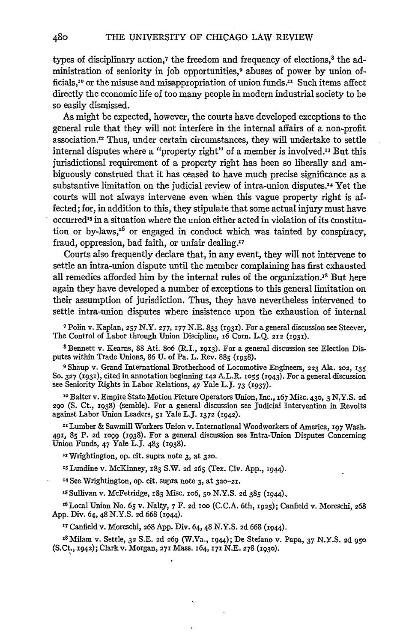types of disciplinary action,<sup>7</sup> the freedom and frequency of elections,<sup>8</sup> the administration of seniority in **job** opportunities,9 abuses of power **by** union officials,<sup>10</sup> or the misuse and misappropriation of union funds.<sup>11</sup> Such items affect directly the economic life of too many people in modern industrial society to be so easily dismissed.

As might be expected, however, the courts have developed exceptions to the general rule that they will not interfere in the internal affairs of a non-profit association.12 Thus, under certain circumstances, they will undertake to settle internal disputes where a "property right" of a member is involved.<sup>13</sup> But this jurisdictional requirement of a property right has been so liberally and ambiguously construed that it has ceased to have much precise significance as a substantive limitation on the judicial review of intra-union disputes.<sup>14</sup> Yet the courts will not always intervene even when this vague property right is affected; for, in addition to this, they stipulate that some actual injury must have occurred<sup>15</sup> in a situation where the union either acted in violation of its constitution or by-laws,<sup> $16$ </sup> or engaged in conduct which was tainted by conspiracy, fraud, oppression, bad faith, or unfair dealing.<sup>17</sup>

Courts also frequently declare that, in any event, they will not intervene to settle an intra-union dispute until the member complaining has first exhausted all remedies afforded him by the internal rules of the organization.<sup>18</sup> But here again they have developed a number of exceptions to this general limitation on their assumption of jurisdiction. Thus, they have nevertheless intervened to settle intra-union disputes where insistence upon the exhaustion of internal

**7** Polin v. Kaplan, **257** N.Y. **277, 177 N.E. 833 (1931).** For a general discussion see Steever, The Control of Labor through Union Discipline, **6** Corn. **L.Q. 212 ('93').**

**8** Bennett v. Kearns, **88** Atl. **8o6** (R.I., **1913).** For a general discussion see Election Disputes within Trade Unions, **86 U.** of Pa. L. Rev. **885 (1938).**

**9** Shaup v. Grand International Brotherhood of Locomotive Engineers, **223** Ala. **202, 135 SO. 327 (i93i),** cited in annotation beginning **142** A.L.R. **io55 (1943).** For a general discussion see Seniority Rights in Labor Relations, 47 Yale **L.J. 73 (i937).**

**10** Balter v. Empire State Motion Picture Operators Union, Inc., **67** Misc. **430,** 3 **N.Y.S. 2d 290 (S.** Ct., **1938)** (semble). For a general discussion see Judicial Intervention in Revolts against Labor Union Leaders, **51** Yale L.J. **1372 (1942).**

**xx** Lumber **&** Sawmill Workers Union v. International Woodworkers of America, **197** Wash. **491, 85** P. **2d o99 (1938).** For a general discussion see Intra-Union Disputes Concerning Union Funds, 47 Yale **L.J.** 483 **(1938).**

12Wrightington, op. cit. supra note **3,** at **32o.**

**X3** Lundine v. McKinney, **183** S.W. **2d 265** (Tex. Civ. **App., 1944).**

**<sup>14</sup>**See Wrightington, op. cit. supra note **3,** at **320-21.**

**IS** Sullivan v. McFetridge, **183** Misc. io6, **5o N.Y.S. 2d 385 (i944)..**

**' 6 Local** Union No. *65* v. Nalty, **7** F. **2d** ioo **(C.C.A.** 6th, *1925);* Canfield v. Moreschi, **<sup>268</sup> App.** Div. 64,48 **N.Y.S. 2d 668** (1944).

**<sup>17</sup>**Canfield v. Moreschi, **268 App.** Div. 64,48 **N.Y.S. 2d 668 (I944).**

**'8** Milam v. Settle, **32 S.E. 2d 269** (W.Va., **1944);** De Stefano v. Papa, **37 N.Y.S. 2d 95o** (S.Ct., **1942);** Clark v. Morgan, **27,** Mass. **164, 171 N.E. 278 (i93o).**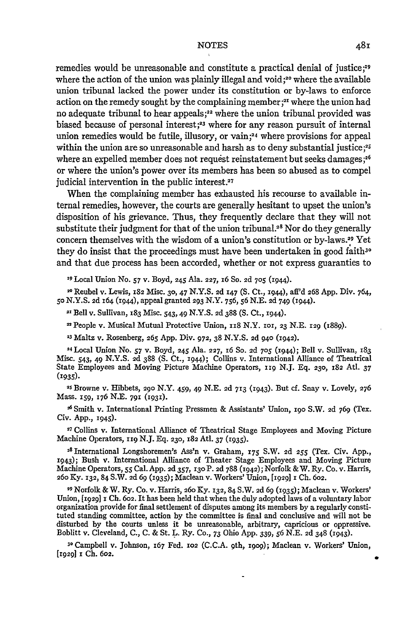remedies would be unreasonable and constitute a practical denial of justice;<sup>19</sup> where the action of the union was plainly illegal and void **;20** where the available union tribunal lacked the power under its constitution or by-laws to enforce action on the remedy sought by the complaining member **;21** where the union had no adequate tribunal to hear appeals *;2* where the union tribunal provided was biased because of personal interest;<sup>23</sup> where for any reason pursuit of internal union remedies would be futile, illusory, or vain;<sup>24</sup> where provisions for appeal within the union are so unreasonable and harsh as to deny substantial justice;<sup>25</sup> where an expelled member does not request reinstatement but seeks damages;<sup>26</sup> or where the union's power over its members has been so abused as to compel judicial intervention in the public interest.<sup>27</sup>

When the complaining member has exhausted his recourse to available internal remedies, however, the courts are generally hesitant to upset the union's disposition of his grievance. Thus, they frequently declare that they will not substitute their judgment for that of the union tribunal.<sup>28</sup> Nor do they generally concern themselves with the wisdom of a union's constitution or by-laws.29 Yet they do insist that the proceedings must have been undertaken in good faith<sup>30</sup> and that due process has been accorded, whether or not express guaranties to

**<sup>19</sup>**Local Union No. *57* v. Boyd, 245 Ala. **227,** 16 So. **2d 705** (1944).

**<sup>20</sup>**Reubel v. Lewis, **182** Misc. **30,** 47 N.Y.S. 2d **i47** (S. Ct., i944), aff'd 268 App. Div. 764, *50* N.Y.S. 2d z64 (x944), appeal granted **293** N.Y. **756,** *56* N.E. 2d 749 (1944).

2" Bell v. Sullivan, x83 Misc. *543,* 49 N.Y.S. 2d **388** (S. Ct., i944).

People v. Musical Mutual Protective Union, ii8 N.Y. **101,** 23 N.E. 129 (i889).

**'3** Maltz v. Rosenberg, *265* App. Div. **972, 38** N.Y.S. 2d 940 (1942).

2 4 Local Union No. **57** v. Boyd, 245 Ala. **227,** 16 So. 2d **705** (i944); Bell v. Sullivan, **183** Misc. *543,* 49 N.Y.S. *2d* **388 (S.** Ct., i944); Collins v. International Alliance of Theatrical State Employees and Moving Picture Machine Operators, xi9 N.J. Eq. **230,** 182 Ath. **<sup>37</sup>** (1935).

**2S** Browne v. Hibbets, 290 N.Y. 459, 49 **N.E.** 2d **713** (1943). But cf. Snay v. Lovely, **276** Mass. **159, ,76** N.E. **791** (1931).

6 Smith v. International Printing Pressmen & Assistants' Union, **190** S.W. 2d 769 (Tex. Civ. App., 1945).

27Collins v. International Alliance of Theatrical Stage Employees and Moving Picture Machine Operators, 119 NJ. Eq. 230, **182** Atl. 37 (1935).

2 <sup>8</sup> International Longshoremen's Ass'n v. Graham, **175** S.W. 2d **255** (Tex. Civ. App., 1943); Bush v. International Alliance of Theater Stage Employees and Moving Picture Machine Operators, **55** Cal. App. 2d 357, I3o P. 2d 788 (1942); Norfolk & W. Ry. Co. v. Harris, 26o Ky. 132, 84 S.W. **2d** 69 (1935); Maclean v. Workers' Union, [1929] 1 **Ch. 602.**

**<sup>29</sup>**Norfolk & W. Ry. Co. v. Harris, 26o Ky. 132, 84 S.W. 2d **69 (935);** Maclean v. Workers' Union, [1929] i Ch. **602.** It has been held that when the duly adopted laws of a voluntary labor organization provide for final settlement of disputes ambng its members by a regularly constituted standing committee, action by the committee is final and conclusive and will not be disturbed by the courts unless it be unreasonable, arbitrary, capricious or oppressive. Boblitt v. Cleveland, C., C. & St. L. Ry. Co., **73** Ohio App. 339, *56* N.E. **2d** 348 (i943).

**3o** Campbell v. Johnson, **x67** Fed. 102 (C.C.A. 9th, i9og); Maclean v. Workers' Union, [1929] **i Ch. 602.**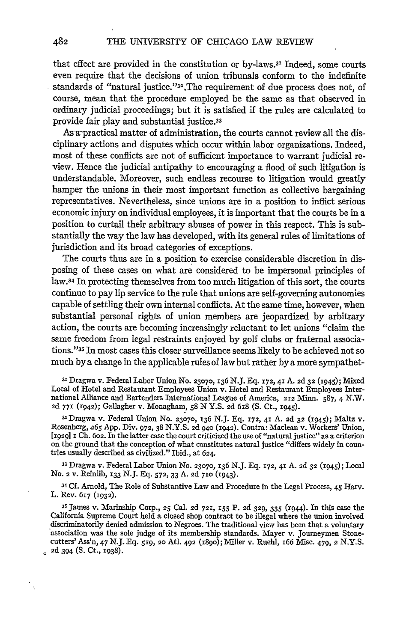that effect are provided in the constitution or by-laws.3' Indeed, some courts even require that the decisions of union tribunals conform to the indefinite standards of "natural justice."32,The requirement of due process does not, of course, mean that the procedure employed be the same as that observed in ordinary judicial proceedings; but it is satisfied if the rules are calculated to provide fair play and substantial justice.<sup>33</sup>

As a-practical matter of administration, the courts cannot review all the disciplinary actions and disputes which occur within labor organizations. Indeed, most of these conflicts are not of sufficient importance to warrant judicial review. Hence the judicial antipathy to encouraging a flood of such litigation is understandable. Moreover, such endless recourse to litigation would greatly hamper the unions in their most important function as collective bargaining representatives. Nevertheless, since unions are in a position to inflict serious economic injury on individual employees, it is important that the courts be in a position to curtail their arbitrary abuses of power in this respect. This is substantially the way the law has developed, with its general rules of limitations of jurisdiction and its broad categories of exceptions.

The courts thus are in a position to exercise considerable discretion in disposing of these cases on what are considered to be impersonal principles of law.34 In protecting themselves from too much litigation of this sort, the courts continue to pay lip service to the rule that unions are self-governing autonomies capable of settling their own internal conflicts. At the same time, however, when substantial personal rights of union members are jeopardized by arbitrary action, the courts are becoming increasingly reluctant to let unions "claim the same freedom from legal restraints enjoyed by golf clubs or fraternal associations."<sup>35</sup> In most cases this closer surveillance seems likely to be achieved not so much by a change in the applicable rules of law but rather by a more sympathet-

**<sup>31</sup>**Dragwa v. Federal Labor Union No. **23070, I36** N.J. **Eq. 172,** 41 **A. 2d 32** (i945); Mixed Local of Hotel and Restaurant Employees Union v. Hotel and Restaurant Employees International Alliance and Bartenders International League of America, **212** Minn. 587, 4 N.W. **2d** 77x (r942); Gallagher v. Monagham, **58** N Y.S. **2d 618** (S. Ct., 1945).

<sup>32</sup> Dragwa v. Federal Union No. 23070, 136 N.J. Eq. 172, 41 A. 2d 32 (1945); Maltz v. Rosenberg, 265 App. Div. 972, 38 N.Y.S. 2d 940 (1942). Contra: Maclean v. Workers' Union, **[1929] I Ch. 602.** In the latter case the court criticized the use of "natural justice" as a criterion on the ground that the conception of what constitutes natural justice "differs widely in countries usually described as civilized." Ibid., at 624.

**<sup>33</sup>**Dragwa v. Federal Labor Union No. **23070, 136** N.J. Eq. 172, **41** A. 2d **32** (1945); Local No. 2 v. Reinlib, **133** N.J. Eq. **572, 33** A. **2d 710** (1943).

34 Cf. Arnold, The Role of Substantive Law and Procedure in the Legal Process, 45 Harv. L. Rev. 617 (1932).

**<sup>35</sup>**James v. Marinship Corp., 25 Cal. **2d 721, 155** P. **2d 329,** 335 (1944). In this case the California Supreme Court held a closed shop contract to be illegal where the union involved discriminatorily denied admission to Negroes. The traditional view has been that a voluntary association was the sole judge of its membership standards. Mayer v. Journeymen Stonecutters' Ass'n, 47 **N.J. Eq. 519,** 2o Atl. **492** (i8go); Miller v. Ruehl, 166 **Misc.** 479, 2 **N.Y.S. 2d** 394 **(S.** Ct., 1938).